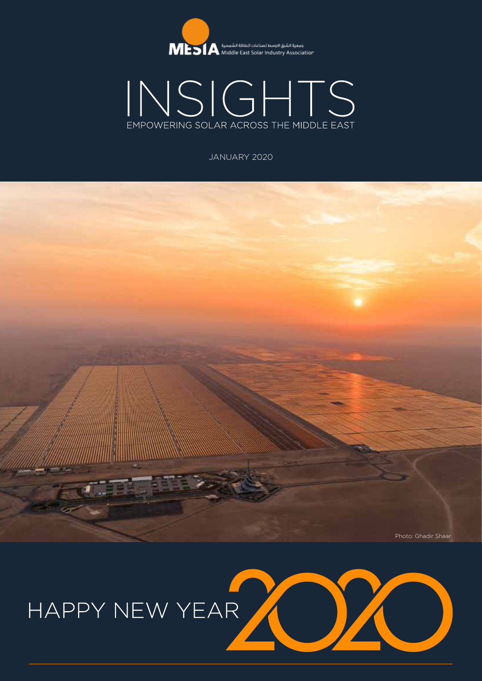



JANUARY 2020



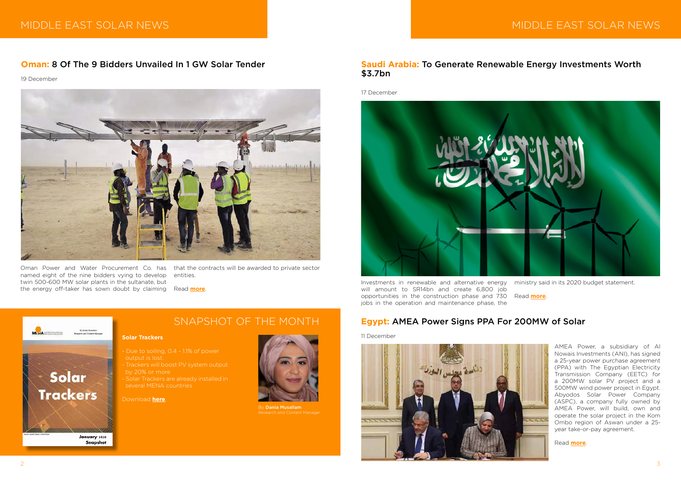



17 December



Investments in renewable and alternative energy will amount to SR14bn and create 6,800 job opportunities in the construction phase and 730 jobs in the operation and maintenance phase, the

ministry said in its 2020 budget statement.

Read **[more](https://www.power-technology.com/comment/saudi-arabia-to-generate-renewable-energy-investments-worth-3-7bn/)**.

AMEA Power, a subsidiary of Al Nowais Investments (ANI), has signed a 25-year power purchase agreement (PPA) with The Egyptian Electricity Transmission Company (EETC) for a 200MW solar PV project and a 500MW wind power project in Egypt. Abyodos Solar Power Company (ASPC), a company fully owned by AMEA Power, will build, own and operate the solar project in the Kom Ombo region of Aswan under a 25 year take-or-pay agreement.

Read **[more](https://www.pv-tech.org/news/amea-power-signs-ppa-for-200mw-solar-in-egypt)**.

# **Egypt:** AMEA Power Signs PPA For 200MW of Solar

11 December



# SNAPSHOT OF THE MONTH

### **Solar Trackers**

- output is lost.
- by 20% or more
- several MENA countries

#### Download **[here](http://www.mesia.com/wp-content/uploads/2019/12/January-2020_-Solar-Trackers-sml.pdf)**.



By **Dania Musallam** 

# MIDDLE EAST SOLAR NEWS A REAL PROPERTY OF THE MIDDLE EAST SOLAR NEWS

# **Oman:** 8 Of The 9 Bidders Unvailed In 1 GW Solar Tender

19 December



Oman Power and Water Procurement Co. has that the contracts will be awarded to private sector named eight of the nine bidders vying to develop twin 500-600 MW solar plants in the sultanate, but the energy off-taker has sown doubt by claiming Read **[more](https://www.pv-magazine.com/2019/12/19/oman-names-most-contenders-in-1-gw-solar-tender/)**.

entities.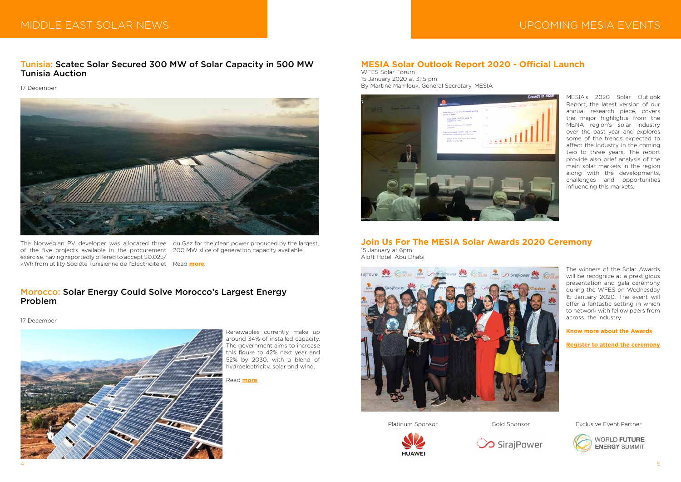# MIDDLE EAST SOLAR NEWS UPCOMING MESIA EVENTS

# Tunisia: Scatec Solar Secured 300 MW of Solar Capacity in 500 MW Tunisia Auction

### 17 December



Renewables currently make up around 34% of installed capacity. The government aims to increase this figure to 42% next year and 52% by 2030, with a blend of hydroelectricity, solar and wind.

Read **[more](https://oilprice.com/Alternative-Energy/Solar-Energy/Solar-Energy-Could-Solve-Moroccos-Largest-Energy-Problem.html)**.

# Morocco: Solar Energy Could Solve Morocco's Largest Energy Problem

17 December



The Norwegian PV developer was allocated three du Gaz for the clean power produced by the largest, of the five projects available in the procurement 200 MW slice of generation capacity available. exercise, having reportedly offered to accept \$0.025/ kWh from utility Société Tunisienne de l'Electricité et Read **[more](https://www.pv-magazine.com/2019/12/17/scatec-secured-300-mw-of-solar-capacity-in-500-mw-tunisia-auction/)**.

MESIA's 2020 Solar Outlook Report, the latest version of our annual research piece, covers the major highlights from the MENA region's solar industry over the past year and explores some of the trends expected to affect the industry in the coming two to three years. The report provide also brief analysis of the main solar markets in the region along with the developments, challenges and opportunities influencing this markets.

# **MESIA Solar Outlook Report 2020 - Official Launch**

WFES Solar Forum 15 January 2020 at 3:15 pm By Martine Mamlouk, General Secretary, MESIA



The winners of the Solar Awards will be recognize at a prestigious presentation and gala ceremony during the WFES on Wednesday 15 January 2020. The event will offer a fantastic setting in which to network with fellow peers from across the industry.

**[Know more about the Awards](http://www.mesia.com/m-events/solar-awards/)**

**[Register to attend the ceremony](https://events.r20.constantcontact.com/register/eventReg?oeidk=a07egfcspj4a8f71170&oseq=&c=&ch=)**

**Join Us For The MESIA Solar Awards 2020 Ceremony**  15 January at 6pm Aloft Hotel, Abu Dhabi







Platinum Sponsor Gold Sponsor Exclusive Event Partner

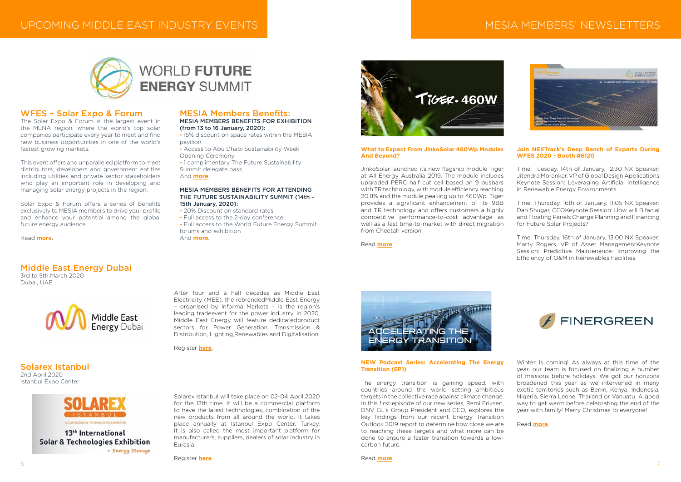

# **WORLD FUTURE ENERGY SUMMIT**

# MESIA MEMBERS' NEWSLETTERS



After four and a half decades as Middle East Electricity (MEE), the rebrandedMiddle East Energy – organised by Informa Markets – is the region's leading tradeevent for the power industry. In 2020, Middle East Energy will feature dedicatedproduct sectors for Power Generation, Transmission & Distribution, Lighting,Renewables and Digitalisation

#### Register **[here](http://www.mesia.com/event/middle-east-energy-dubai/)**.

# Middle East Energy Dubai

3rd to 5th March 2020 Dubai, UAE



Solarex Istanbul will take place on 02-04 April 2020 for the 13th time. It will be a commercial platform to have the latest technologies, combination of the new products from all around the world. It takes place annually at Istanbul Expo Center, Turkey. It is also called the most important platform for manufacturers, suppliers, dealers of solar industry in Eurasia.

Register **[here](http://www.mesia.com/event/solarex-istanbul/)**.



# Solarex Istanbul 2nd April 2020

Istanbul Expo Center



13<sup>th</sup> International **Solar & Technologies Exhibition** + Energy Storage

## WFES – Solar Expo & Forum

The Solar Expo & Forum is the largest event in the MENA region, where the world's top solar companies participate every year to meet and find new business opportunities in one of the world's fastest growing markets.

This event offers and unparalleled platform to meet distributors, developers and government entities including utilities and private sector stakeholders who play an important role in developing and managing solar energy projects in the region.

Solar Expo & Forum offers a series of benefits exclusively to MESIA members to drive your profile and enhance your potential among the global future energy audience.

Read **[more](https://www.worldfutureenergysummit.com/wfes-solar?utm_source=mesia&utm_medium=barters-email&utm_campaign=wfes2020_acquisition_exhibitors_mesia_email#/)**.

# MESIA Members Benefits:

MESIA MEMBERS BENEFITS FOR EXHIBITION (from 13 to 16 January, 2020):

**-** 15% discount on space rates within the MESIA pavilion

**-** Access to Abu Dhabi Sustainability Week Opening Ceremony

**-** 1 complimentary The Future Sustainability Summit delegate pass And **[more](http://www.mesia.com/event/world-future-energy-summit-solar-expo/)**.

### MESIA MEMBERS BENEFITS FOR ATTENDING THE FUTURE SUSTAINABILITY SUMMIT (14th – 15th January, 2020):

- 20% Discount on standard rates
- Full access to the 2-day conference
- Full access to the World Future Energy Summit forums and exhibition

And **[more](http://www.mesia.com/event/world-future-energy-summit-solar-expo/))**.



### **NEW Podcast Series: Accelerating The Energy Transition (EP1)**

The energy transition is gaining speed, with countries around the world setting ambitious targets in the collective race against climate change. In this first episode of our new series, Remi Eriksen, DNV GL's Group President and CEO, explores the key findings from our recent Energy Transition Outlook 2019 report to determine how close we are to reaching these targets and what more can be done to ensure a faster transition towards a lowcarbon future.

Winter is coming! As always at this time of the year, our team is focused on finalizing a number of missions before holidays. We got our horizons broadened this year as we intervened in many exotic territories such as Benin, Kenya, Indonesia, Nigeria, Sierra Leone, Thaïland or Vanuatu. A good way to get warm before celebrating the end of the year with family! Merry Christmas to everyone!

Read **[more](https://mailchi.mp/finergreen/the-latest-news-from-finergreen-ahjwqicbd2?e=1b7aa48517)**.

### **What to Expect From JinkoSolar 460Wp Modules And Beyond?**

JinkoSolar launched its new flagship module Tiger at All-Energy Australia 2019. The module includes upgraded PERC half cut cell based on 9 busbars with TR technology, with module efficiency reaching 20.8% and the module peaking up to 460Wp. Tiger provides a significant enhancement of its 9BB and TR technology and offers customers a highly competitive performance-to-cost advantage as well as a fast time-to-market with direct migration from Cheetah version.

Read **[more](http://www.mesia.com/2019/12/17/what-to-expect-from-jinkosolar-460wp-modules-and-beyond/)**.

## **Join NEXTrack's Deep Bench of Experts During WFES 2020 - Booth #6120**

Time: Tuesday, 14th of January, 12:30 NX Speaker: Jitendra Morankar, VP of Global Design Applications Keynote Session: Leveraging Artificial Intelligence in Renewable Energy Environments

Time: Thursday, 16th of January, 11:05 NX Speaker: Dan Shugar, CEOKeynote Session: How will Bifacial and Floating Panels Change Planning and Financing for Future Solar Projects?

Time: Thursday, 16th of January, 13:00 NX Speaker: Marty Rogers, VP of Asset ManagementKeynote Session: Predictive Maintenance: Improving the Efficiency of O&M in Renewables Facilities

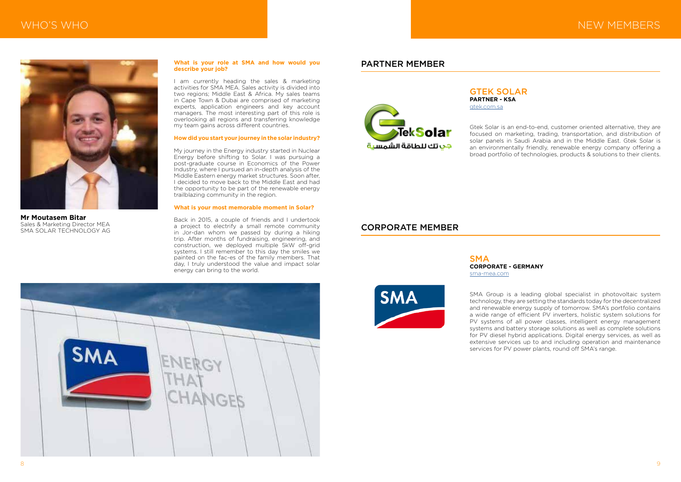# MHO'S WHO NEW MEMBERS AND LOCAL THROUGH A STATE OF THE CAST SOLAR NEWSFILM AND MEMBERS IN THE MANUFACTURE OF THE CAST OF THE CAST OF THE CAST OF THE CAST OF THE CAST OF THE CAST OF THE CAST OF THE CAST OF THE CAST OF THE C

#### **What is your role at SMA and how would you describe your job?**

I am currently heading the sales & marketing activities for SMA MEA. Sales activity is divided into two regions; Middle East & Africa. My sales teams in Cape Town & Dubai are comprised of marketing experts, application engineers and key account managers. The most interesting part of this role is overlooking all regions and transferring knowledge my team gains across different countries.

## **How did you start your journey in the solar industry?**

My journey in the Energy industry started in Nuclear Energy before shifting to Solar. I was pursuing a post-graduate course in Economics of the Power Industry, where I pursued an in-depth analysis of the Middle Eastern energy market structures. Soon after, I decided to move back to the Middle East and had the opportunity to be part of the renewable energy trailblazing community in the region.

> **SMA CORPORATE - GERMANY** [sma-mea.com](https://www.sma-mea.com)

**SMA** 

#### **What is your most memorable moment in Solar?**

Back in 2015, a couple of friends and I undertook a project to electrify a small remote community in Jor-dan whom we passed by during a hiking trip. After months of fundraising, engineering, and construction, we deployed multiple 5kW off-grid systems. I still remember to this day the smiles we painted on the fac-es of the family members. That day, I truly understood the value and impact solar energy can bring to the world.



**Mr Moutasem Bitar** Sales & Marketing Director MEA SMA SOLAR TECHNOLOGY AG

GTEK SOLAR **[PA](http://gtek.com.sa)RTNER - KSA** [gtek.com.sa](http://gtek.com.sa)

Gtek Solar is an end-to-end, customer oriented alternative, they are focused on marketing, trading, transportation, and distribution of solar panels in Saudi Arabia and in the Middle East. Gtek Solar is an environmentally friendly, renewable energy company offering a broad portfolio of technologies, products & solutions to their clients.

# PARTNER MEMBER



SMA Group is a leading global specialist in photovoltaic system technology, they are setting the standards today for the decentralized and renewable energy supply of tomorrow. SMA's portfolio contains a wide range of efficient PV inverters, holistic system solutions for PV systems of all power classes, intelligent energy management systems and battery storage solutions as well as complete solutions for PV diesel hybrid applications. Digital energy services, as well as extensive services up to and including operation and maintenance services for PV power plants, round off SMA's range.

## CORPORATE MEMBER